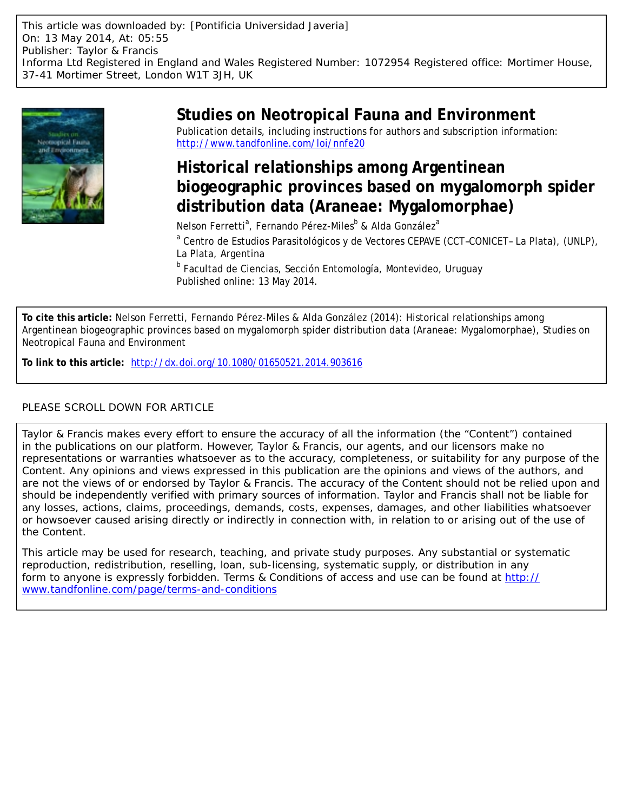

# **Studies on Neotropical Fauna and Environment**

Publication details, including instructions for authors and subscription information: <http://www.tandfonline.com/loi/nnfe20>

# **Historical relationships among Argentinean biogeographic provinces based on mygalomorph spider distribution data (Araneae: Mygalomorphae)**

Nelson Ferretti<sup>a</sup>, Fernando Pérez-Miles<sup>b</sup> & Alda González<sup>a</sup>

<sup>a</sup> Centro de Estudios Parasitológicos y de Vectores CEPAVE (CCT-CONICET- La Plata), (UNLP), La Plata, Argentina

<sup>b</sup> Facultad de Ciencias, Sección Entomología, Montevideo, Uruguay Published online: 13 May 2014.

**To cite this article:** Nelson Ferretti, Fernando Pérez-Miles & Alda González (2014): Historical relationships among Argentinean biogeographic provinces based on mygalomorph spider distribution data (Araneae: Mygalomorphae), Studies on Neotropical Fauna and Environment

**To link to this article:** <http://dx.doi.org/10.1080/01650521.2014.903616>

# PLEASE SCROLL DOWN FOR ARTICLE

Taylor & Francis makes every effort to ensure the accuracy of all the information (the "Content") contained in the publications on our platform. However, Taylor & Francis, our agents, and our licensors make no representations or warranties whatsoever as to the accuracy, completeness, or suitability for any purpose of the Content. Any opinions and views expressed in this publication are the opinions and views of the authors, and are not the views of or endorsed by Taylor & Francis. The accuracy of the Content should not be relied upon and should be independently verified with primary sources of information. Taylor and Francis shall not be liable for any losses, actions, claims, proceedings, demands, costs, expenses, damages, and other liabilities whatsoever or howsoever caused arising directly or indirectly in connection with, in relation to or arising out of the use of the Content.

This article may be used for research, teaching, and private study purposes. Any substantial or systematic reproduction, redistribution, reselling, loan, sub-licensing, systematic supply, or distribution in any form to anyone is expressly forbidden. Terms & Conditions of access and use can be found at [http://](http://www.tandfonline.com/page/terms-and-conditions) [www.tandfonline.com/page/terms-and-conditions](http://www.tandfonline.com/page/terms-and-conditions)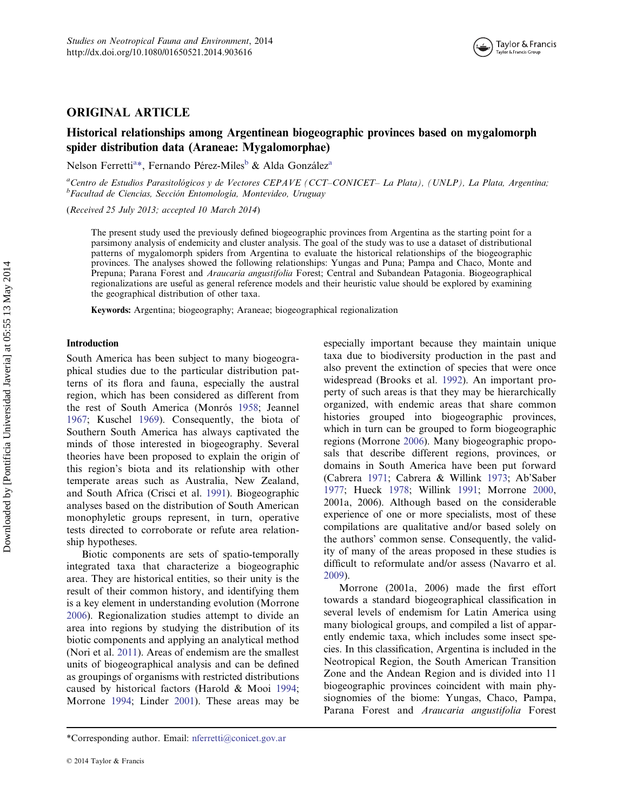## ORIGINAL ARTICLE

## Historical relationships among Argentinean biogeographic provinces based on mygalomorph spider distribution data (Araneae: Mygalomorphae)

Nelson Ferretti<sup>a</sup>\*, Fernando Pérez-Miles<sup>b</sup> & Alda González<sup>a</sup>

<sup>a</sup>Centro de Estudios Parasitológicos y de Vectores CEPAVE (CCT–CONICET– La Plata), (UNLP), La Plata, Argentina;<br><sup>b</sup>Eacultad de Ciancias, Sección Entomología, Montevideo, Uruguay. <sup>b</sup>Facultad de Ciencias, Sección Entomología, Montevideo, Uruguay

(Received 25 July 2013; accepted 10 March 2014)

The present study used the previously defined biogeographic provinces from Argentina as the starting point for a parsimony analysis of endemicity and cluster analysis. The goal of the study was to use a dataset of distributional patterns of mygalomorph spiders from Argentina to evaluate the historical relationships of the biogeographic provinces. The analyses showed the following relationships: Yungas and Puna; Pampa and Chaco, Monte and Prepuna; Parana Forest and *Araucaria angustifolia* Forest; Central and Subandean Patagonia. Biogeographical regionalizations are useful as general reference models and their heuristic value should be explored by examining the geographical distribution of other taxa.

Keywords: Argentina; biogeography; Araneae; biogeographical regionalization

#### Introduction

South America has been subject to many biogeographical studies due to the particular distribution patterns of its flora and fauna, especially the austral region, which has been considered as different from the rest of South America (Monrós [1958;](#page-9-0) Jeannel [1967](#page-9-0); Kuschel [1969\)](#page-9-0). Consequently, the biota of Southern South America has always captivated the minds of those interested in biogeography. Several theories have been proposed to explain the origin of this region's biota and its relationship with other temperate areas such as Australia, New Zealand, and South Africa (Crisci et al. [1991\)](#page-9-0). Biogeographic analyses based on the distribution of South American monophyletic groups represent, in turn, operative tests directed to corroborate or refute area relationship hypotheses.

Biotic components are sets of spatio-temporally integrated taxa that characterize a biogeographic area. They are historical entities, so their unity is the result of their common history, and identifying them is a key element in understanding evolution (Morrone [2006](#page-9-0)). Regionalization studies attempt to divide an area into regions by studying the distribution of its biotic components and applying an analytical method (Nori et al. [2011\)](#page-9-0). Areas of endemism are the smallest units of biogeographical analysis and can be defined as groupings of organisms with restricted distributions caused by historical factors (Harold & Mooi [1994;](#page-9-0) Morrone [1994;](#page-9-0) Linder [2001](#page-9-0)). These areas may be

especially important because they maintain unique taxa due to biodiversity production in the past and also prevent the extinction of species that were once widespread (Brooks et al. [1992](#page-8-0)). An important property of such areas is that they may be hierarchically organized, with endemic areas that share common histories grouped into biogeographic provinces, which in turn can be grouped to form biogeographic regions (Morrone [2006\)](#page-9-0). Many biogeographic proposals that describe different regions, provinces, or domains in South America have been put forward (Cabrera [1971;](#page-8-0) Cabrera & Willink [1973;](#page-8-0) Ab'Saber [1977;](#page-8-0) Hueck [1978](#page-9-0); Willink [1991;](#page-10-0) Morrone [2000,](#page-9-0) 2001a, 2006). Although based on the considerable experience of one or more specialists, most of these compilations are qualitative and/or based solely on the authors' common sense. Consequently, the validity of many of the areas proposed in these studies is difficult to reformulate and/or assess (Navarro et al. [2009\)](#page-9-0).

Morrone (2001a, 2006) made the first effort towards a standard biogeographical classification in several levels of endemism for Latin America using many biological groups, and compiled a list of apparently endemic taxa, which includes some insect species. In this classification, Argentina is included in the Neotropical Region, the South American Transition Zone and the Andean Region and is divided into 11 biogeographic provinces coincident with main physiognomies of the biome: Yungas, Chaco, Pampa, Parana Forest and Araucaria angustifolia Forest

<sup>\*</sup>Corresponding author. Email: nferretti@conicet.gov.ar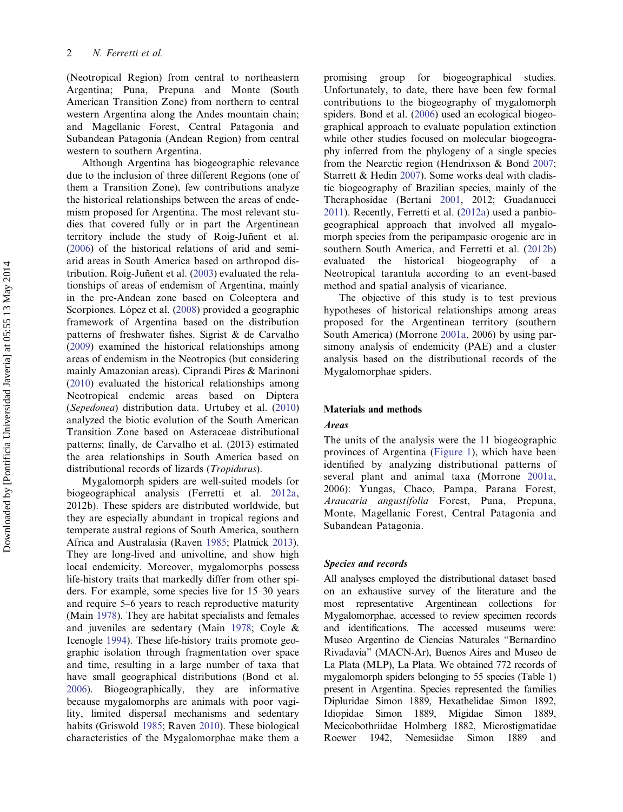(Neotropical Region) from central to northeastern Argentina; Puna, Prepuna and Monte (South American Transition Zone) from northern to central western Argentina along the Andes mountain chain; and Magellanic Forest, Central Patagonia and Subandean Patagonia (Andean Region) from central western to southern Argentina.

Although Argentina has biogeographic relevance due to the inclusion of three different Regions (one of them a Transition Zone), few contributions analyze the historical relationships between the areas of endemism proposed for Argentina. The most relevant studies that covered fully or in part the Argentinean territory include the study of Roig-Juñent et al. [\(2006](#page-10-0)) of the historical relations of arid and semiarid areas in South America based on arthropod distribution. Roig-Juñent et al. [\(2003](#page-10-0)) evaluated the relationships of areas of endemism of Argentina, mainly in the pre-Andean zone based on Coleoptera and Scorpiones. López et al. [\(2008](#page-9-0)) provided a geographic framework of Argentina based on the distribution patterns of freshwater fishes. Sigrist & de Carvalho [\(2009](#page-10-0)) examined the historical relationships among areas of endemism in the Neotropics (but considering mainly Amazonian areas). Ciprandi Pires & Marinoni [\(2010](#page-8-0)) evaluated the historical relationships among Neotropical endemic areas based on Diptera (Sepedonea) distribution data. Urtubey et al. [\(2010](#page-10-0)) analyzed the biotic evolution of the South American Transition Zone based on Asteraceae distributional patterns; finally, de Carvalho et al. (2013) estimated the area relationships in South America based on distributional records of lizards (Tropidurus).

Mygalomorph spiders are well-suited models for biogeographical analysis (Ferretti et al. [2012a,](#page-9-0) 2012b). These spiders are distributed worldwide, but they are especially abundant in tropical regions and temperate austral regions of South America, southern Africa and Australasia (Raven [1985;](#page-9-0) Platnick [2013\)](#page-9-0). They are long-lived and univoltine, and show high local endemicity. Moreover, mygalomorphs possess life-history traits that markedly differ from other spiders. For example, some species live for 15–30 years and require 5–6 years to reach reproductive maturity (Main [1978](#page-9-0)). They are habitat specialists and females and juveniles are sedentary (Main [1978;](#page-9-0) Coyle & Icenogle [1994\)](#page-9-0). These life-history traits promote geographic isolation through fragmentation over space and time, resulting in a large number of taxa that have small geographical distributions (Bond et al. [2006](#page-8-0)). Biogeographically, they are informative because mygalomorphs are animals with poor vagility, limited dispersal mechanisms and sedentary habits (Griswold [1985;](#page-9-0) Raven [2010\)](#page-10-0). These biological characteristics of the Mygalomorphae make them a promising group for biogeographical studies. Unfortunately, to date, there have been few formal contributions to the biogeography of mygalomorph spiders. Bond et al. [\(2006](#page-8-0)) used an ecological biogeographical approach to evaluate population extinction while other studies focused on molecular biogeography inferred from the phylogeny of a single species from the Nearctic region (Hendrixson & Bond [2007;](#page-9-0) Starrett & Hedin [2007](#page-10-0)). Some works deal with cladistic biogeography of Brazilian species, mainly of the Theraphosidae (Bertani [2001,](#page-8-0) 2012; Guadanucci [2011\)](#page-9-0). Recently, Ferretti et al. ([2012a\)](#page-9-0) used a panbiogeographical approach that involved all mygalomorph species from the peripampasic orogenic arc in southern South America, and Ferretti et al. ([2012b](#page-9-0)) evaluated the historical biogeography of Neotropical tarantula according to an event-based method and spatial analysis of vicariance.

The objective of this study is to test previous hypotheses of historical relationships among areas proposed for the Argentinean territory (southern South America) (Morrone [2001a](#page-9-0), 2006) by using parsimony analysis of endemicity (PAE) and a cluster analysis based on the distributional records of the Mygalomorphae spiders.

#### Materials and methods

### Areas

The units of the analysis were the 11 biogeographic provinces of Argentina [\(Figure](#page-3-0) 1), which have been identified by analyzing distributional patterns of several plant and animal taxa (Morrone [2001a,](#page-9-0) 2006): Yungas, Chaco, Pampa, Parana Forest, Araucaria angustifolia Forest, Puna, Prepuna, Monte, Magellanic Forest, Central Patagonia and Subandean Patagonia.

#### Species and records

All analyses employed the distributional dataset based on an exhaustive survey of the literature and the most representative Argentinean collections for Mygalomorphae, accessed to review specimen records and identifications. The accessed museums were: Museo Argentino de Ciencias Naturales "Bernardino Rivadavia" (MACN-Ar), Buenos Aires and Museo de La Plata (MLP), La Plata. We obtained 772 records of mygalomorph spiders belonging to 55 species (Table 1) present in Argentina. Species represented the families Dipluridae Simon 1889, Hexathelidae Simon 1892, Idiopidae Simon 1889, Migidae Simon 1889, Mecicobothriidae Holmberg 1882, Microstigmatidae Roewer 1942, Nemesiidae Simon 1889 and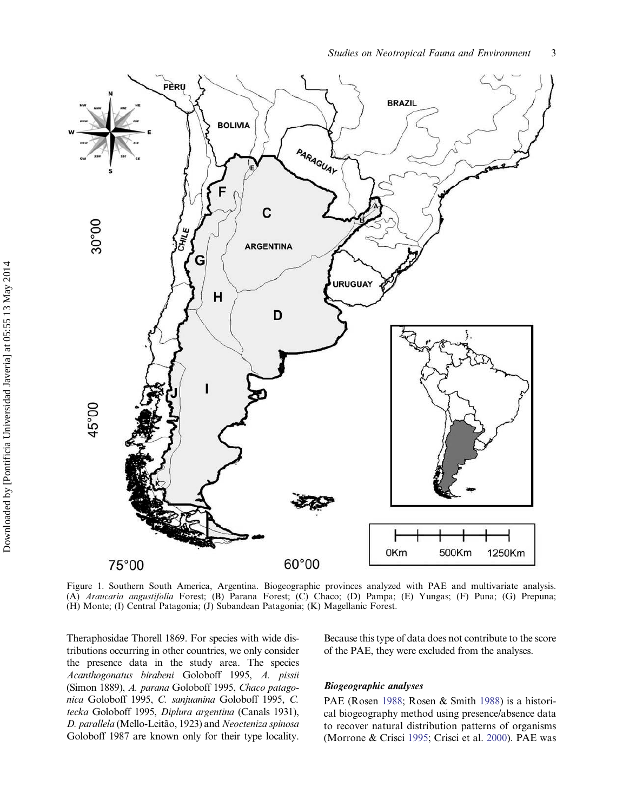<span id="page-3-0"></span>

Figure 1. Southern South America, Argentina. Biogeographic provinces analyzed with PAE and multivariate analysis. (A) Araucaria angustifolia Forest; (B) Parana Forest; (C) Chaco; (D) Pampa; (E) Yungas; (F) Puna; (G) Prepuna; (H) Monte; (I) Central Patagonia; (J) Subandean Patagonia; (K) Magellanic Forest.

Theraphosidae Thorell 1869. For species with wide distributions occurring in other countries, we only consider the presence data in the study area. The species Acanthogonatus birabeni Goloboff 1995, A. pissii (Simon 1889), A. parana Goloboff 1995, Chaco patagonica Goloboff 1995, C. sanjuanina Goloboff 1995, C. tecka Goloboff 1995, Diplura argentina (Canals 1931), D. parallela (Mello-Leitão, 1923) and Neocteniza spinosa Goloboff 1987 are known only for their type locality.

Because this type of data does not contribute to the score of the PAE, they were excluded from the analyses.

### Biogeographic analyses

PAE (Rosen [1988;](#page-10-0) Rosen & Smith [1988](#page-10-0)) is a historical biogeography method using presence/absence data to recover natural distribution patterns of organisms (Morrone & Crisci [1995](#page-9-0); Crisci et al. [2000](#page-9-0)). PAE was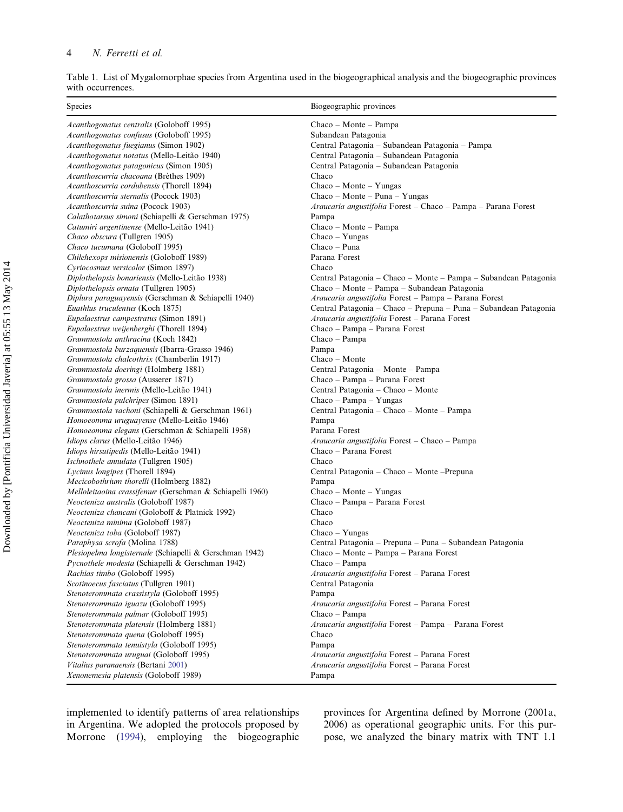## 4 N. Ferretti et al.

| <b>Species</b>                                           | Biogeographic provinces                                          |
|----------------------------------------------------------|------------------------------------------------------------------|
| Acanthogonatus centralis (Goloboff 1995)                 | Chaco – Monte – Pampa                                            |
| Acanthogonatus confusus (Goloboff 1995)                  | Subandean Patagonia                                              |
| Acanthogonatus fuegianus (Simon 1902)                    | Central Patagonia - Subandean Patagonia - Pampa                  |
| Acanthogonatus notatus (Mello-Leitão 1940)               | Central Patagonia - Subandean Patagonia                          |
| Acanthogonatus patagonicus (Simon 1905)                  | Central Patagonia - Subandean Patagonia                          |
| Acanthoscurria chacoana (Brèthes 1909)                   | Chaco                                                            |
| Acanthoscurria cordubensis (Thorell 1894)                | $Chaco - Monte - Yungas$                                         |
| Acanthoscurria sternalis (Pocock 1903)                   | $Chaco - Monte - Puna - Yungas$                                  |
| Acanthoscurria suina (Pocock 1903)                       | Araucaria angustifolia Forest - Chaco - Pampa - Parana Forest    |
| Calathotarsus simoni (Schiapelli & Gerschman 1975)       | Pampa                                                            |
| Catumiri argentinense (Mello-Leitão 1941)                | Chaco - Monte - Pampa                                            |
| Chaco obscura (Tullgren 1905)                            | $Chaco - Yungas$                                                 |
| Chaco tucumana (Goloboff 1995)                           | Chaco - Puna                                                     |
| Chilehexops misionensis (Goloboff 1989)                  | Parana Forest                                                    |
| Cyriocosmus versicolor (Simon 1897)                      | Chaco                                                            |
| Diplothelopsis bonariensis (Mello-Leitão 1938)           | Central Patagonia - Chaco - Monte - Pampa - Subandean Patagonia  |
| Diplothelopsis ornata (Tullgren 1905)                    | Chaco – Monte – Pampa – Subandean Patagonia                      |
| Diplura paraguayensis (Gerschman & Schiapelli 1940)      | Araucaria angustifolia Forest - Pampa - Parana Forest            |
| Euathlus truculentus (Koch 1875)                         | Central Patagonia - Chaco - Prepuna - Puna - Subandean Patagonia |
| Eupalaestrus campestratus (Simon 1891)                   | Araucaria angustifolia Forest - Parana Forest                    |
| Eupalaestrus weijenberghi (Thorell 1894)                 | Chaco - Pampa - Parana Forest                                    |
| Grammostola anthracina (Koch 1842)                       | Chaco - Pampa                                                    |
| Grammostola burzaquensis (Ibarra-Grasso 1946)            | Pampa                                                            |
| Grammostola chalcothrix (Chamberlin 1917)                | Chaco – Monte                                                    |
| Grammostola doeringi (Holmberg 1881)                     | Central Patagonia - Monte - Pampa                                |
| Grammostola grossa (Ausserer 1871)                       | Chaco - Pampa - Parana Forest                                    |
| Grammostola inermis (Mello-Leitão 1941)                  | Central Patagonia - Chaco - Monte                                |
| Grammostola pulchripes (Simon 1891)                      | $Chaco-Pampa-Yungas$                                             |
| Grammostola vachoni (Schiapelli & Gerschman 1961)        | Central Patagonia – Chaco – Monte – Pampa                        |
| Homoeomma uruguayense (Mello-Leitão 1946)                | Pampa                                                            |
| Homoeomma elegans (Gerschman & Schiapelli 1958)          | Parana Forest                                                    |
| Idiops clarus (Mello-Leitão 1946)                        | Araucaria angustifolia Forest - Chaco - Pampa                    |
| Idiops hirsutipedis (Mello-Leitão 1941)                  | Chaco - Parana Forest                                            |
| Ischnothele annulata (Tullgren 1905)                     | Chaco                                                            |
| Lycinus longipes (Thorell 1894)                          | Central Patagonia – Chaco – Monte – Prepuna                      |
| Mecicobothrium thorelli (Holmberg 1882)                  | Pampa                                                            |
| Melloleitaoina crassifemur (Gerschman & Schiapelli 1960) | $Chaco - Monte - Yungas$                                         |
| Neocteniza australis (Goloboff 1987)                     | Chaco - Pampa - Parana Forest                                    |
| Neocteniza chancani (Goloboff & Platnick 1992)           | Chaco                                                            |
| Neocteniza minima (Goloboff 1987)                        | Chaco                                                            |
| Neocteniza toba (Goloboff 1987)                          | Chaco - Yungas                                                   |
| Paraphysa scrofa (Molina 1788)                           | Central Patagonia – Prepuna – Puna – Subandean Patagonia         |
| Plesiopelma longisternale (Schiapelli & Gerschman 1942)  | Chaco - Monte - Pampa - Parana Forest                            |
| Pycnothele modesta (Schiapelli & Gerschman 1942)         | Chaco - Pampa                                                    |
| Rachias timbo (Goloboff 1995)                            | Araucaria angustifolia Forest - Parana Forest                    |
| Scotinoecus fasciatus (Tullgren 1901)                    | Central Patagonia                                                |
| Stenoterommata crassistyla (Goloboff 1995)               | Pampa                                                            |
| Stenoterommata iguazu (Goloboff 1995)                    | Araucaria angustifolia Forest - Parana Forest                    |
| Stenoterommata palmar (Goloboff 1995)                    | Chaco - Pampa                                                    |
| Stenoterommata platensis (Holmberg 1881)                 | Araucaria angustifolia Forest - Pampa - Parana Forest            |
| Stenoterommata quena (Goloboff 1995)                     | Chaco                                                            |
| Stenoterommata tenuistyla (Goloboff 1995)                | Pampa                                                            |
| Stenoterommata uruguai (Goloboff 1995)                   | Araucaria angustifolia Forest - Parana Forest                    |
| Vitalius paranaensis (Bertani 2001)                      | Araucaria angustifolia Forest - Parana Forest                    |
| Xenonemesia platensis (Goloboff 1989)                    | Pampa                                                            |

Table 1. List of Mygalomorphae species from Argentina used in the biogeographical analysis and the biogeographic provinces with occurrences.  $\overline{a}$ 

implemented to identify patterns of area relationships in Argentina. We adopted the protocols proposed by Morrone [\(1994](#page-9-0)), employing the biogeographic provinces for Argentina defined by Morrone (2001a, 2006) as operational geographic units. For this purpose, we analyzed the binary matrix with TNT 1.1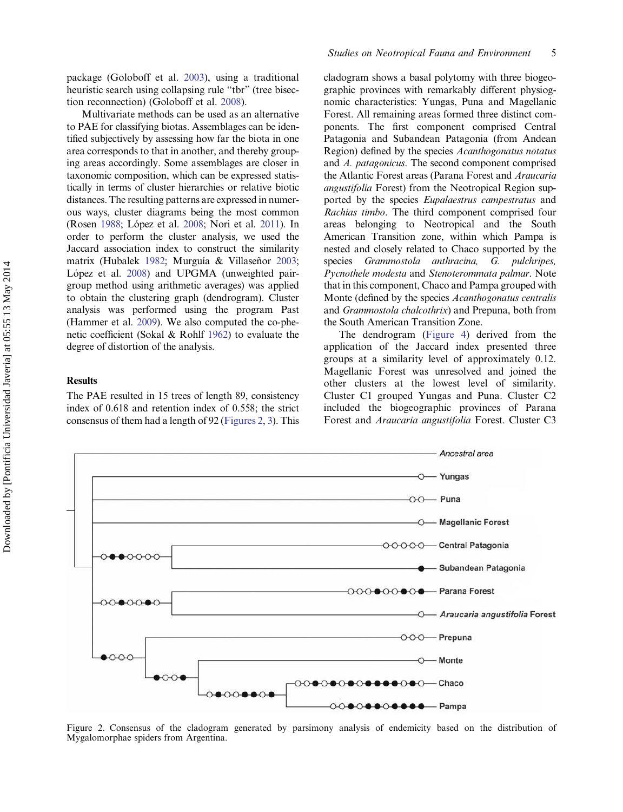package (Goloboff et al. [2003\)](#page-9-0), using a traditional heuristic search using collapsing rule "tbr" (tree bisection reconnection) (Goloboff et al. [2008\)](#page-9-0).

Multivariate methods can be used as an alternative to PAE for classifying biotas. Assemblages can be identified subjectively by assessing how far the biota in one area corresponds to that in another, and thereby grouping areas accordingly. Some assemblages are closer in taxonomic composition, which can be expressed statistically in terms of cluster hierarchies or relative biotic distances. The resulting patterns are expressed in numerous ways, cluster diagrams being the most common (Rosen [1988;](#page-10-0) López et al. [2008;](#page-9-0) Nori et al. [2011\)](#page-9-0). In order to perform the cluster analysis, we used the Jaccard association index to construct the similarity matrix (Hubalek [1982](#page-9-0); Murguía & Villaseñor [2003;](#page-9-0) López et al. [2008\)](#page-9-0) and UPGMA (unweighted pairgroup method using arithmetic averages) was applied to obtain the clustering graph (dendrogram). Cluster analysis was performed using the program Past (Hammer et al. [2009\)](#page-9-0). We also computed the co-phenetic coefficient (Sokal & Rohlf [1962\)](#page-10-0) to evaluate the degree of distortion of the analysis.

#### Results

The PAE resulted in 15 trees of length 89, consistency index of 0.618 and retention index of 0.558; the strict consensus of them had a length of 92 (Figures 2, [3\)](#page-6-0). This

cladogram shows a basal polytomy with three biogeographic provinces with remarkably different physiognomic characteristics: Yungas, Puna and Magellanic Forest. All remaining areas formed three distinct components. The first component comprised Central Patagonia and Subandean Patagonia (from Andean Region) defined by the species Acanthogonatus notatus and A. patagonicus. The second component comprised the Atlantic Forest areas (Parana Forest and Araucaria angustifolia Forest) from the Neotropical Region supported by the species *Eupalaestrus campestratus* and Rachias timbo. The third component comprised four areas belonging to Neotropical and the South American Transition zone, within which Pampa is nested and closely related to Chaco supported by the species Grammostola anthracina, G. pulchripes, Pycnothele modesta and Stenoterommata palmar. Note that in this component, Chaco and Pampa grouped with Monte (defined by the species Acanthogonatus centralis and Grammostola chalcothrix) and Prepuna, both from the South American Transition Zone.

The dendrogram ([Figure 4](#page-7-0)) derived from the application of the Jaccard index presented three groups at a similarity level of approximately 0.12. Magellanic Forest was unresolved and joined the other clusters at the lowest level of similarity. Cluster C1 grouped Yungas and Puna. Cluster C2 included the biogeographic provinces of Parana Forest and Araucaria angustifolia Forest. Cluster C3



Figure 2. Consensus of the cladogram generated by parsimony analysis of endemicity based on the distribution of Mygalomorphae spiders from Argentina.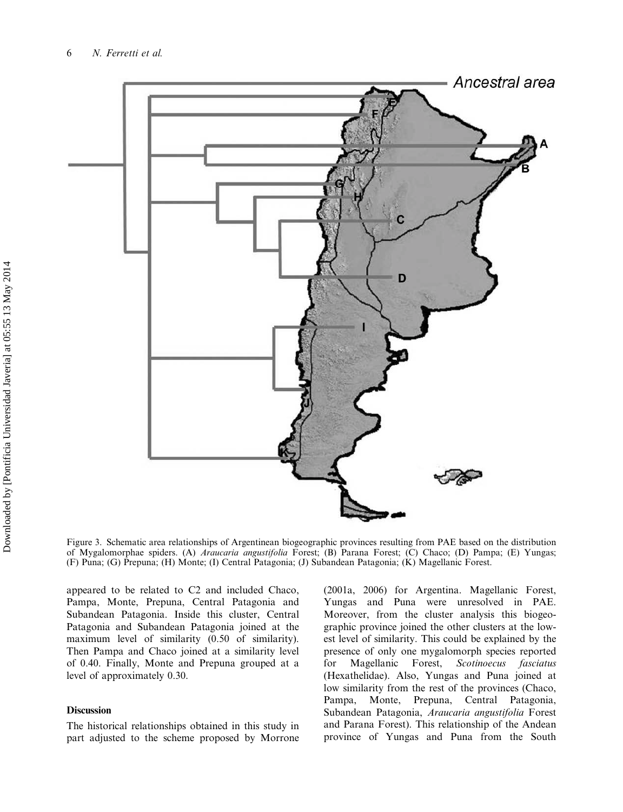<span id="page-6-0"></span>

Figure 3. Schematic area relationships of Argentinean biogeographic provinces resulting from PAE based on the distribution of Mygalomorphae spiders. (A) Araucaria angustifolia Forest; (B) Parana Forest; (C) Chaco; (D) Pampa; (E) Yungas; (F) Puna; (G) Prepuna; (H) Monte; (I) Central Patagonia; (J) Subandean Patagonia; (K) Magellanic Forest.

appeared to be related to C2 and included Chaco, Pampa, Monte, Prepuna, Central Patagonia and Subandean Patagonia. Inside this cluster, Central Patagonia and Subandean Patagonia joined at the maximum level of similarity (0.50 of similarity). Then Pampa and Chaco joined at a similarity level of 0.40. Finally, Monte and Prepuna grouped at a level of approximately 0.30.

#### **Discussion**

The historical relationships obtained in this study in part adjusted to the scheme proposed by Morrone

(2001a, 2006) for Argentina. Magellanic Forest, Yungas and Puna were unresolved in PAE. Moreover, from the cluster analysis this biogeographic province joined the other clusters at the lowest level of similarity. This could be explained by the presence of only one mygalomorph species reported for Magellanic Forest, Scotinoecus fasciatus (Hexathelidae). Also, Yungas and Puna joined at low similarity from the rest of the provinces (Chaco, Pampa, Monte, Prepuna, Central Patagonia, Subandean Patagonia, Araucaria angustifolia Forest and Parana Forest). This relationship of the Andean province of Yungas and Puna from the South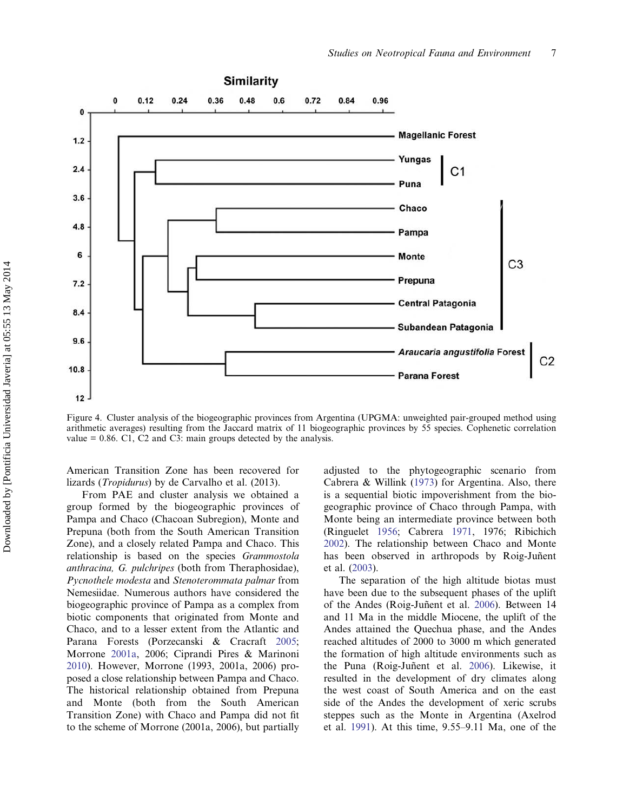<span id="page-7-0"></span>

Figure 4. Cluster analysis of the biogeographic provinces from Argentina (UPGMA: unweighted pair-grouped method using arithmetic averages) resulting from the Jaccard matrix of 11 biogeographic provinces by 55 species. Cophenetic correlation value  $= 0.86$ . C1, C2 and C3: main groups detected by the analysis.

American Transition Zone has been recovered for lizards (Tropidurus) by de Carvalho et al. (2013).

From PAE and cluster analysis we obtained a group formed by the biogeographic provinces of Pampa and Chaco (Chacoan Subregion), Monte and Prepuna (both from the South American Transition Zone), and a closely related Pampa and Chaco. This relationship is based on the species Grammostola anthracina, G. pulchripes (both from Theraphosidae), Pycnothele modesta and Stenoterommata palmar from Nemesiidae. Numerous authors have considered the biogeographic province of Pampa as a complex from biotic components that originated from Monte and Chaco, and to a lesser extent from the Atlantic and Parana Forests (Porzecanski & Cracraft [2005;](#page-9-0) Morrone [2001a,](#page-9-0) 2006; Ciprandi Pires & Marinoni [2010](#page-8-0)). However, Morrone (1993, 2001a, 2006) proposed a close relationship between Pampa and Chaco. The historical relationship obtained from Prepuna and Monte (both from the South American Transition Zone) with Chaco and Pampa did not fit to the scheme of Morrone (2001a, 2006), but partially

adjusted to the phytogeographic scenario from Cabrera & Willink ([1973\)](#page-8-0) for Argentina. Also, there is a sequential biotic impoverishment from the biogeographic province of Chaco through Pampa, with Monte being an intermediate province between both (Ringuelet [1956;](#page-10-0) Cabrera [1971](#page-8-0), 1976; Ribichich [2002\)](#page-10-0). The relationship between Chaco and Monte has been observed in arthropods by Roig-Juñent et al. ([2003\)](#page-10-0).

The separation of the high altitude biotas must have been due to the subsequent phases of the uplift of the Andes (Roig-Juñent et al. [2006](#page-10-0)). Between 14 and 11 Ma in the middle Miocene, the uplift of the Andes attained the Quechua phase, and the Andes reached altitudes of 2000 to 3000 m which generated the formation of high altitude environments such as the Puna (Roig-Juñent et al. [2006\)](#page-10-0). Likewise, it resulted in the development of dry climates along the west coast of South America and on the east side of the Andes the development of xeric scrubs steppes such as the Monte in Argentina (Axelrod et al. [1991](#page-8-0)). At this time, 9.55–9.11 Ma, one of the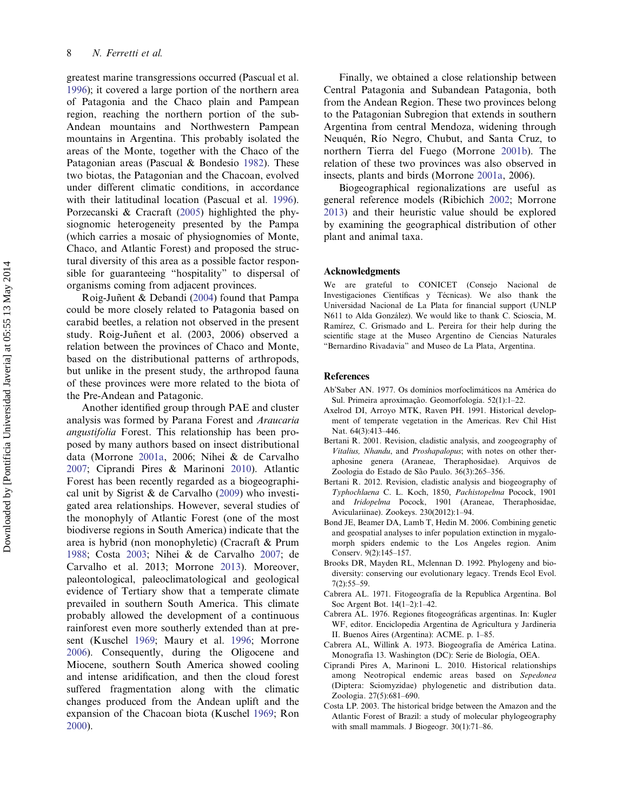<span id="page-8-0"></span>greatest marine transgressions occurred (Pascual et al. [1996](#page-9-0)); it covered a large portion of the northern area of Patagonia and the Chaco plain and Pampean region, reaching the northern portion of the sub-Andean mountains and Northwestern Pampean mountains in Argentina. This probably isolated the areas of the Monte, together with the Chaco of the Patagonian areas (Pascual & Bondesio [1982](#page-9-0)). These two biotas, the Patagonian and the Chacoan, evolved under different climatic conditions, in accordance with their latitudinal location (Pascual et al. [1996\)](#page-9-0). Porzecanski & Cracraft [\(2005](#page-9-0)) highlighted the physiognomic heterogeneity presented by the Pampa (which carries a mosaic of physiognomies of Monte, Chaco, and Atlantic Forest) and proposed the structural diversity of this area as a possible factor responsible for guaranteeing "hospitality" to dispersal of organisms coming from adjacent provinces.

Roig-Juñent & Debandi ([2004\)](#page-10-0) found that Pampa could be more closely related to Patagonia based on carabid beetles, a relation not observed in the present study. Roig-Juñent et al. (2003, 2006) observed a relation between the provinces of Chaco and Monte, based on the distributional patterns of arthropods, but unlike in the present study, the arthropod fauna of these provinces were more related to the biota of the Pre-Andean and Patagonic.

Another identified group through PAE and cluster analysis was formed by Parana Forest and Araucaria angustifolia Forest. This relationship has been proposed by many authors based on insect distributional data (Morrone [2001a,](#page-9-0) 2006; Nihei & de Carvalho [2007](#page-9-0); Ciprandi Pires & Marinoni 2010). Atlantic Forest has been recently regarded as a biogeographical unit by Sigrist & de Carvalho [\(2009](#page-10-0)) who investigated area relationships. However, several studies of the monophyly of Atlantic Forest (one of the most biodiverse regions in South America) indicate that the area is hybrid (non monophyletic) (Cracraft & Prum [1988](#page-9-0); Costa 2003; Nihei & de Carvalho [2007;](#page-9-0) de Carvalho et al. 2013; Morrone [2013\)](#page-9-0). Moreover, paleontological, paleoclimatological and geological evidence of Tertiary show that a temperate climate prevailed in southern South America. This climate probably allowed the development of a continuous rainforest even more southerly extended than at present (Kuschel [1969;](#page-9-0) Maury et al. [1996;](#page-9-0) Morrone [2006](#page-9-0)). Consequently, during the Oligocene and Miocene, southern South America showed cooling and intense aridification, and then the cloud forest suffered fragmentation along with the climatic changes produced from the Andean uplift and the expansion of the Chacoan biota (Kuschel [1969;](#page-9-0) Ron [2000](#page-10-0)).

Finally, we obtained a close relationship between Central Patagonia and Subandean Patagonia, both from the Andean Region. These two provinces belong to the Patagonian Subregion that extends in southern Argentina from central Mendoza, widening through Neuquén, Río Negro, Chubut, and Santa Cruz, to northern Tierra del Fuego (Morrone [2001b\)](#page-9-0). The relation of these two provinces was also observed in insects, plants and birds (Morrone [2001a,](#page-9-0) 2006).

Biogeographical regionalizations are useful as general reference models (Ribichich [2002;](#page-10-0) Morrone [2013\)](#page-9-0) and their heuristic value should be explored by examining the geographical distribution of other plant and animal taxa.

#### Acknowledgments

We are grateful to CONICET (Consejo Nacional de Investigaciones Científicas y Técnicas). We also thank the Universidad Nacional de La Plata for financial support (UNLP N611 to Alda González). We would like to thank C. Scioscia, M. Ramírez, C. Grismado and L. Pereira for their help during the scientific stage at the Museo Argentino de Ciencias Naturales "Bernardino Rivadavia" and Museo de La Plata, Argentina.

#### **References**

- Ab'Saber AN. 1977. Os domínios morfoclimáticos na América do Sul. Primeira aproximação. Geomorfología. 52(1):1–22.
- Axelrod DI, Arroyo MTK, Raven PH. 1991. Historical development of temperate vegetation in the Americas. Rev Chil Hist Nat. 64(3):413–446.
- Bertani R. 2001. Revision, cladistic analysis, and zoogeography of Vitalius, Nhandu, and Proshapalopus; with notes on other theraphosine genera (Araneae, Theraphosidae). Arquivos de Zoologia do Estado de São Paulo. 36(3):265–356.
- Bertani R. 2012. Revision, cladistic analysis and biogeography of Typhochlaena C. L. Koch, 1850, Pachistopelma Pocock, 1901 and Iridopelma Pocock, 1901 (Araneae, Theraphosidae, Aviculariinae). Zookeys. 230(2012):1–94.
- Bond JE, Beamer DA, Lamb T, Hedin M. 2006. Combining genetic and geospatial analyses to infer population extinction in mygalomorph spiders endemic to the Los Angeles region. Anim Conserv. 9(2):145–157.
- Brooks DR, Mayden RL, Mclennan D. 1992. Phylogeny and biodiversity: conserving our evolutionary legacy. Trends Ecol Evol. 7(2):55–59.
- Cabrera AL. 1971. Fitogeografía de la Republica Argentina. Bol Soc Argent Bot. 14(1–2):1–42.
- Cabrera AL. 1976. Regiones fitogeográficas argentinas. In: Kugler WF, editor. Enciclopedia Argentina de Agricultura y Jardineria II. Buenos Aires (Argentina): ACME. p. 1–85.
- Cabrera AL, Willink A. 1973. Biogeografía de América Latina. Monografía 13. Washington (DC): Serie de Biología, OEA.
- Ciprandi Pires A, Marinoni L. 2010. Historical relationships among Neotropical endemic areas based on Sepedonea (Diptera: Sciomyzidae) phylogenetic and distribution data. Zoologia. 27(5):681–690.
- Costa LP. 2003. The historical bridge between the Amazon and the Atlantic Forest of Brazil: a study of molecular phylogeography with small mammals. J Biogeogr. 30(1):71–86.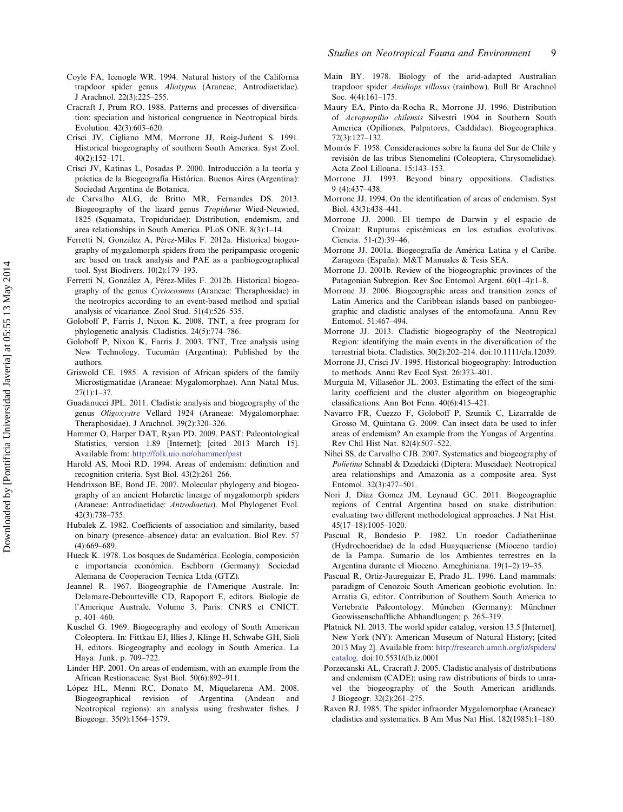- <span id="page-9-0"></span>Coyle FA, Icenogle WR. 1994. Natural history of the California trapdoor spider genus Aliatypus (Araneae, Antrodiaetidae). J Arachnol. 22(3):225–255.
- Cracraft J, Prum RO. 1988. Patterns and processes of diversification: speciation and historical congruence in Neotropical birds. Evolution. 42(3):603–620.
- Crisci JV, Cigliano MM, Morrone JJ, Roig-Juñent S. 1991. Historical biogeography of southern South America. Syst Zool. 40(2):152–171.
- Crisci JV, Katinas L, Posadas P. 2000. Introducción a la teoría y práctica de la Biogeografía Histórica. Buenos Aires (Argentina): Sociedad Argentina de Botanica.
- de Carvalho ALG, de Britto MR, Fernandes DS. 2013. Biogeography of the lizard genus Tropidurus Wied-Neuwied, 1825 (Squamata, Tropiduridae): Distribution, endemism, and area relationships in South America. PLoS ONE. 8(3):1–14.
- Ferretti N, González A, Pérez-Miles F. 2012a. Historical biogeography of mygalomorph spiders from the peripampasic orogenic arc based on track analysis and PAE as a panbiogeographical tool. Syst Biodivers. 10(2):179–193.
- Ferretti N, González A, Pérez-Miles F. 2012b. Historical biogeography of the genus Cyriocosmus (Araneae: Theraphosidae) in the neotropics according to an event-based method and spatial analysis of vicariance. Zool Stud. 51(4):526–535.
- Goloboff P, Farris J, Nixon K. 2008. TNT, a free program for phylogenetic analysis. Cladistics. 24(5):774–786.
- Goloboff P, Nixon K, Farris J. 2003. TNT, Tree analysis using New Technology. Tucumán (Argentina): Published by the authors.
- Griswold CE. 1985. A revision of African spiders of the family Microstigmatidae (Araneae: Mygalomorphae). Ann Natal Mus. 27(1):1–37.
- Guadanucci JPL. 2011. Cladistic analysis and biogeography of the genus Oligoxystre Vellard 1924 (Araneae: Mygalomorphae: Theraphosidae). J Arachnol. 39(2):320–326.
- Hammer O, Harper DAT, Ryan PD. 2009. PAST: Paleontological Statistics, version 1.89 [Internet]; [cited 2013 March 15]. Available from: <http://folk.uio.no/ohammer/past>
- Harold AS, Mooi RD. 1994. Areas of endemism: definition and recognition criteria. Syst Biol. 43(2):261–266.
- Hendrixson BE, Bond JE. 2007. Molecular phylogeny and biogeography of an ancient Holarctic lineage of mygalomorph spiders (Araneae: Antrodiaetidae: Antrodiaetus). Mol Phylogenet Evol. 42(3):738–755.
- Hubalek Z. 1982. Coefficients of association and similarity, based on binary (presence–absence) data: an evaluation. Biol Rev. 57 (4):669–689.
- Hueck K. 1978. Los bosques de Sudamérica. Ecología, composición e importancia económica. Eschborn (Germany): Sociedad Alemana de Cooperacion Tecnica Ltda (GTZ).
- Jeannel R. 1967. Biogeographie de l'Amerique Australe. In: Delamare-Deboutteville CD, Rapoport E, editors. Biologie de l'Amerique Australe, Volume 3. Paris: CNRS et CNICT. p. 401–460.
- Kuschel G. 1969. Biogeography and ecology of South American Coleoptera. In: Fittkau EJ, Illies J, Klinge H, Schwabe GH, Sioli H, editors. Biogeography and ecology in South America. La Haya: Junk. p. 709–722.
- Linder HP. 2001. On areas of endemism, with an example from the African Restionaceae. Syst Biol. 50(6):892–911.
- López HL, Menni RC, Donato M, Miquelarena AM. 2008. Biogeographical revision of Argentina (Andean and Neotropical regions): an analysis using freshwater fishes. J Biogeogr. 35(9):1564–1579.
- Main BY. 1978. Biology of the arid-adapted Australian trapdoor spider Anidiops villosus (rainbow). Bull Br Arachnol Soc. 4(4):161–175.
- Maury EA, Pinto-da-Rocha R, Morrone JJ. 1996. Distribution of Acropsopilio chilensis Silvestri 1904 in Southern South America (Opiliones, Palpatores, Caddidae). Biogeographica. 72(3):127–132.
- Monrós F. 1958. Consideraciones sobre la fauna del Sur de Chile y revisión de las tribus Stenomelini (Coleoptera, Chrysomelidae). Acta Zool Lilloana. 15:143–153.
- Morrone JJ. 1993. Beyond binary oppositions. Cladistics. 9 (4):437–438.
- Morrone JJ. 1994. On the identification of areas of endemism. Syst Biol. 43(3):438–441.
- Morrone JJ. 2000. El tiempo de Darwin y el espacio de Croizat: Rupturas epistémicas en los estudios evolutivos. Ciencia. 51-(2):39–46.
- Morrone JJ. 2001a. Biogeografía de América Latina y el Caribe. Zaragoza (España): M&T Manuales & Tesis SEA.
- Morrone JJ. 2001b. Review of the biogeographic provinces of the Patagonian Subregion. Rev Soc Entomol Argent. 60(1–4):1–8.
- Morrone JJ. 2006. Biogeographic areas and transition zones of Latin America and the Caribbean islands based on panbiogeographic and cladistic analyses of the entomofauna. Annu Rev Entomol. 51:467–494.
- Morrone JJ. 2013. Cladistic biogeography of the Neotropical Region: identifying the main events in the diversification of the terrestrial biota. Cladistics. 30(2):202–214. doi:10.1111/cla.12039.
- Morrone JJ, Crisci JV. 1995. Historical biogeography: Introduction to methods. Annu Rev Ecol Syst. 26:373–401.
- Murguía M, Villaseñor JL. 2003. Estimating the effect of the similarity coefficient and the cluster algorithm on biogeographic classifications. Ann Bot Fenn. 40(6):415–421.
- Navarro FR, Cuezzo F, Goloboff P, Szumik C, Lizarralde de Grosso M, Quintana G. 2009. Can insect data be used to infer areas of endemism? An example from the Yungas of Argentina. Rev Chil Hist Nat. 82(4):507–522.
- Nihei SS, de Carvalho CJB. 2007. Systematics and biogeography of Polietina Schnabl & Dziedzicki (Diptera: Muscidae): Neotropical area relationships and Amazonia as a composite area. Syst Entomol. 32(3):477–501.
- Nori J, Diaz Gomez JM, Leynaud GC. 2011. Biogeographic regions of Central Argentina based on snake distribution: evaluating two different methodological approaches. J Nat Hist. 45(17–18):1005–1020.
- Pascual R, Bondesio P. 1982. Un roedor Cadiatheriinae (Hydrochoeridae) de la edad Huayqueriense (Mioceno tardío) de la Pampa. Sumario de los Ambientes terrestres en la Argentina durante el Mioceno. Ameghiniana. 19(1–2):19–35.
- Pascual R, Ortiz-Jaureguizar E, Prado JL. 1996. Land mammals: paradigm of Cenozoic South American geobiotic evolution. In: Arratia G, editor. Contribution of Southern South America to Vertebrate Paleontology. München (Germany): Münchner Geowissenschaftliche Abhandlungen; p. 265–319.
- Platnick NI. 2013. The world spider catalog, version 13.5 [Internet]. New York (NY): American Museum of Natural History; [cited 2013 May 2]. Available from: [http://research.amnh.org/iz/spiders/](http://research.amnh.org/iz/spiders/catalog) [catalog](http://research.amnh.org/iz/spiders/catalog). doi:10.5531/db.iz.0001
- Porzecanski AL, Cracraft J. 2005. Cladistic analysis of distributions and endemism (CADE): using raw distributions of birds to unravel the biogeography of the South American aridlands. J Biogeogr. 32(2):261–275.
- Raven RJ. 1985. The spider infraorder Mygalomorphae (Araneae): cladistics and systematics. B Am Mus Nat Hist. 182(1985):1–180.